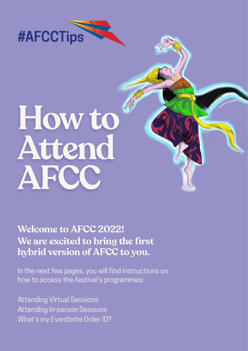

# **How to Attend AFCC**

**Welcome to AFCC 2022! We are excited to bring the first hybrid version of AFCC to you.**

In the next few pages, you will find instructions on how to access the festival's programmes:

[Attending Virtual Sessions](#page-1-0) [Attending In‑person Sessions](#page-5-0) [What's my Eventbrite Order ID?](#page-6-0)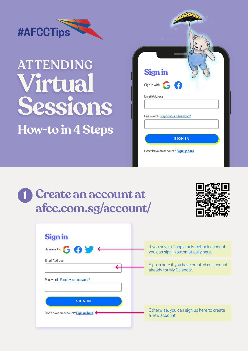<span id="page-1-0"></span>

### **ATTENDING Virtual Sessions How-to in 4 Steps**

| <b>Sign in</b>       |                 |                                     |  |  |
|----------------------|-----------------|-------------------------------------|--|--|
|                      | Sign in with: G |                                     |  |  |
| <b>Email Address</b> |                 |                                     |  |  |
|                      |                 | Password - Forgot your password?    |  |  |
|                      |                 |                                     |  |  |
|                      |                 | <b>SIGN IN</b>                      |  |  |
|                      |                 | Don't have an account? Sign up here |  |  |

### **Create an account at afcc.com.sg/account/ 1**



| <b>Sign in</b>                      |                                                                                  |
|-------------------------------------|----------------------------------------------------------------------------------|
| Sign in with: G G V +               | If you have a Google or Facebook account,<br>you can sign in automatically here. |
| <b>Email Address</b>                |                                                                                  |
|                                     | Sign in here if you have created an account<br>already for My Calendar.          |
| Password - Forgot your password?    |                                                                                  |
| <b>SIGN IN</b>                      |                                                                                  |
| Don't have an account? Sign up here | Otherwise, you can sign up here to create<br>a new account.                      |
|                                     |                                                                                  |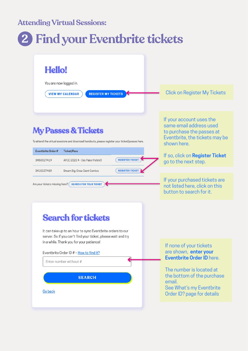#### **Attending Virtual Sessions:**

### **2 Find your Eventbrite tickets**

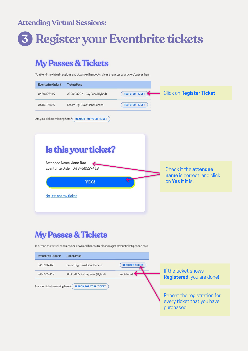#### **Attending Virtual Sessions:**

### **3 Register your Eventbrite tickets**

### **My Passes & Tickets**

To attend the virtual sessions and download handouts, please register your ticket/passes here.

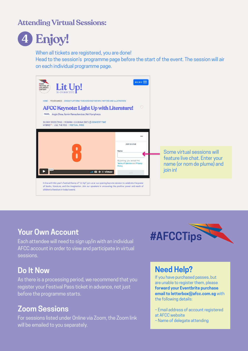### **Attending Virtual Sessions:**



**4 Enjoy!**

When all tickets are registered, you are done!

Head to the session's programme page before the start of the event. The session will air on each individual programme page.

| <b>ASIAN</b><br>Lit Up!<br><b>FESTIVAL OF</b><br><b>CHILDREN'S</b><br><b>CONTENT</b><br>HOME > PROGRAMMES > CROSS-PLATFORM   TEACHERS AND PARENTS   WRITERS AND ILLUSTRATORS<br><b>AFCC Keynote: Light Up with Literature!</b><br>PANEL Angie Chew, Kamini Ramachandran, Neil Humphreys<br>26 MAY 2022 (THU)   9:00AM-10:30AM (SGT) @ CONVERT TIME<br>HYBRID *   L16, THE POD   FESTIVAL PASS | $MENU =$<br>$\circ$                                                                                              |                                                                                                       |  |
|-----------------------------------------------------------------------------------------------------------------------------------------------------------------------------------------------------------------------------------------------------------------------------------------------------------------------------------------------------------------------------------------------|------------------------------------------------------------------------------------------------------------------|-------------------------------------------------------------------------------------------------------|--|
| 17:37<br>$$ $\Box$ $\Delta$ : vimeo                                                                                                                                                                                                                                                                                                                                                           | <br>Join to chat<br>Name<br>By joining, you accept the<br>Terms of Service and Privacy<br>Policy.<br><b>Join</b> | Some virtual sessions will<br>feature live chat. Enter your<br>name (or nom de plume) and<br>join in! |  |
| In line with this year's festival theme of "Lit Up!", join us at our opening keynote session to celebrate the power<br>of books, literature, and the imagination. Join our speakers in uncovering the positive power and reach of<br>children's literature in today's world.                                                                                                                  |                                                                                                                  |                                                                                                       |  |

### **Your Own Account**

Each attendee will need to sign up/in with an individual AFCC account in order to view and participate in virtual sessions.

### **Do It Now**

As there is a processing period, we recommend that you register your Festival Pass ticket in advance, not just before the programme starts.

### **Zoom Sessions**

For sessions listed under Online via Zoom, the Zoom link will be emailed to you separately.



### **Need Help?**

If you have purchased passes, but are unable to register them, please **forward your Eventbrite purchase email to letterbox@afcc.com.sg** with the following details:

- Email address of account registered at AFCC website
- Name of delegate attending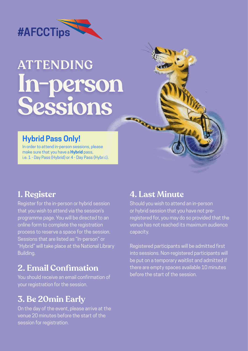<span id="page-5-0"></span>

# **ATTENDING In-person Sessions**

### **Hybrid Pass Only!**

In order to attend in-person sessions, please make sure that you have a **Hybrid** pass, i.e. 1 - Day Pass (Hybrid) or 4 - Day Pass (Hybrid).

### **1. Register**

Register for the in-person or hybrid session that you wish to attend via the session's programme page. You will be directed to an online form to complete the registration process to reserve a space for the session. Sessions that are listed as "In-person" or "Hybrid" will take place at the National Library Building.

### **2. Email Confimation**

You should receive an email confirmation of your registration for the session.

### **3. Be 20min Early**

On the day of the event, please arrive at the venue 20 minutes before the start of the session for registration.

### **4. Last Minute**

Should you wish to attend an in-person or hybrid session that you have not preregistered for, you may do so provided that the venue has not reached its maximum audience capacity.

Registered participants will be admitted first into sessions. Non-registered participants will be put on a temporary waitlist and admitted if there are empty spaces available 10 minutes before the start of the session.